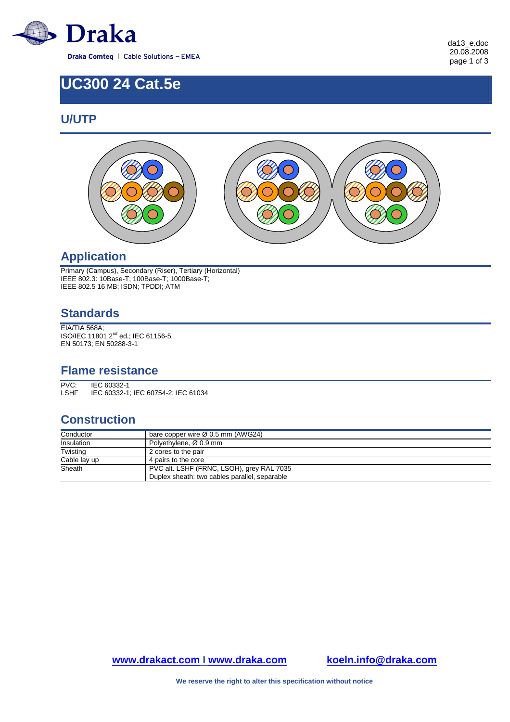

# **UC300 24 Cat.5e**

#### **U/UTP**



### **Application**

Primary (Campus), Secondary (Riser), Tertiary (Horizontal) IEEE 802.3: 10Base-T; 100Base-T; 1000Base-T; IEEE 802.5 16 MB; ISDN; TPDDI; ATM

### **Standards**

EIA/TIA 568A; ISO/IEC 11801 2<sup>nd</sup> ed.: IEC 61156-5 EN 50173; EN 50288-3-1

### **Flame resistance**

PVC: IEC 60332-1<br>LSHF IEC 60332-1 IEC 60332-1; IEC 60754-2; IEC 61034

### **Construction**

| Conductor    | bare copper wire $\varnothing$ 0.5 mm (AWG24) |
|--------------|-----------------------------------------------|
| Insulation   | Polyethylene, Ø 0.9 mm                        |
| Twisting     | 2 cores to the pair                           |
| Cable lay up | 4 pairs to the core                           |
| Sheath       | PVC alt. LSHF (FRNC, LSOH), grey RAL 7035     |
|              | Duplex sheath: two cables parallel, separable |

**www.drakact.com I www.draka.com koeln.info@draka.com**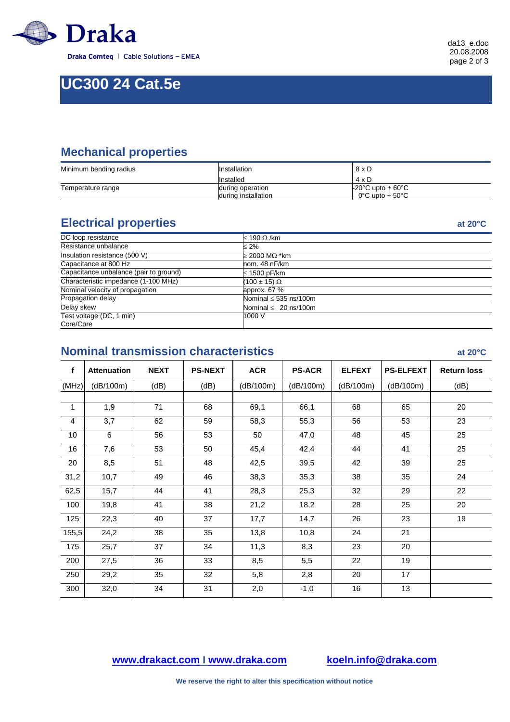

# **UC300 24 Cat.5e**

### **Mechanical properties**

| Minimum bending radius | Installation        | $8 \times D$                         |  |  |
|------------------------|---------------------|--------------------------------------|--|--|
|                        | Installed           | 4 x D                                |  |  |
| Temperature range      | during operation    | $-20^{\circ}$ C upto $+60^{\circ}$ C |  |  |
|                        | during installation | $0^{\circ}$ C upto + 50 $^{\circ}$ C |  |  |

## **Electrical properties at 20°C**

| DC loop resistance                     | $\leq$ 190 $\Omega$ /km    |  |  |
|----------------------------------------|----------------------------|--|--|
| Resistance unbalance                   | $\leq 2\%$                 |  |  |
| Insulation resistance (500 V)          | $\geq$ 2000 MΩ *km         |  |  |
| Capacitance at 800 Hz                  | nom. 48 nF/km              |  |  |
| Capacitance unbalance (pair to ground) | $\leq$ 1500 pF/km          |  |  |
| Characteristic impedance (1-100 MHz)   | $(100 \pm 15)$ $\Omega$    |  |  |
| Nominal velocity of propagation        | approx. 67 %               |  |  |
| Propagation delay                      | Nominal $\leq$ 535 ns/100m |  |  |
| Delay skew                             | Nominal $\leq 20$ ns/100m  |  |  |
| Test voltage (DC, 1 min)               | 1000 V                     |  |  |
| Core/Core                              |                            |  |  |

### **Nominal transmission characteristics at 20°C**

**f Attenuation NEXT PS-NEXT ACR PS-ACR ELFEXT PS-ELFEXT Return loss** (MHz) (dB/100m) (dB) (dB) (dB/100m) (dB/100m) (dB/100m) (dB/100m) (dB) 1 | 1,9 | 71 | 68 | 69,1 | 66,1 | 68 | 65 | 20 4 | 3,7 | 62 | 59 | 58,3 | 55,3 | 56 | 53 | 23 10 6 6 56 53 650 47,0 48 45 25 16 | 7,6 | 53 | 50 | 45,4 | 42,4 | 44 | 41 | 25 20 | 8,5 | 51 | 48 | 42,5 | 39,5 | 42 | 39 | 25 31,2 | 10,7 | 49 | 46 | 38,3 | 35,3 | 38 | 35 | 24 62,5 | 15,7 | 44 | 41 | 28,3 | 25,3 | 32 | 29 | 22 100 | 19,8 | 41 | 38 | 21,2 | 18,2 | 28 | 25 | 20 125 | 22,3 | 40 | 37 | 17,7 | 14,7 | 26 | 23 | 19 155,5 24,2 38 35 13,8 10,8 24 21 175 | 25,7 | 37 | 34 | 11,3 | 8,3 | 23 | 20 200 | 27,5 | 36 | 33 | 8,5 | 5,5 | 22 | 19 250 | 29,2 | 35 | 32 | 5,8 | 2,8 | 20 | 17 300 | 32,0 | 34 | 31 | 2,0 | -1,0 | 16 | 13

#### **www.drakact.com I www.draka.com koeln.info@draka.com**